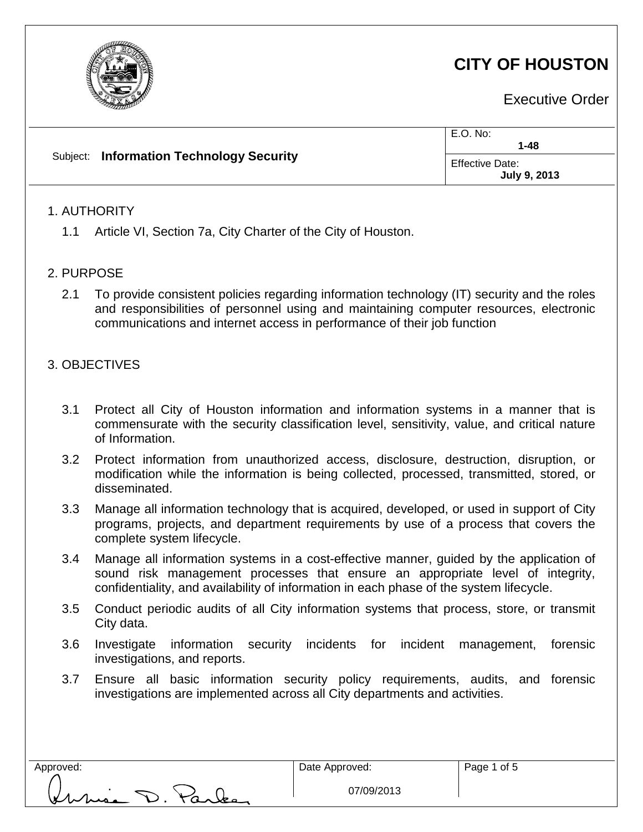

# **CITY OF HOUSTON**

Executive Order

|  | Subject: Information Technology Security | E.O. No:<br>$1 - 48$                   |
|--|------------------------------------------|----------------------------------------|
|  |                                          | Effective Date:<br><b>July 9, 2013</b> |

# 1. AUTHORITY

1.1 Article VI, Section 7a, City Charter of the City of Houston.

### 2. PURPOSE

2.1 To provide consistent policies regarding information technology (IT) security and the roles and responsibilities of personnel using and maintaining computer resources, electronic communications and internet access in performance of their job function

# 3. OBJECTIVES

- 3.1 Protect all City of Houston information and information systems in a manner that is commensurate with the security classification level, sensitivity, value, and critical nature of Information.
- 3.2 Protect information from unauthorized access, disclosure, destruction, disruption, or modification while the information is being collected, processed, transmitted, stored, or disseminated.
- 3.3 Manage all information technology that is acquired, developed, or used in support of City programs, projects, and department requirements by use of a process that covers the complete system lifecycle.
- 3.4 Manage all information systems in a cost-effective manner, guided by the application of sound risk management processes that ensure an appropriate level of integrity, confidentiality, and availability of information in each phase of the system lifecycle.
- 3.5 Conduct periodic audits of all City information systems that process, store, or transmit City data.
- 3.6 Investigate information security incidents for incident management, forensic investigations, and reports.
- 3.7 Ensure all basic information security policy requirements, audits, and forensic investigations are implemented across all City departments and activities.

use D. Parles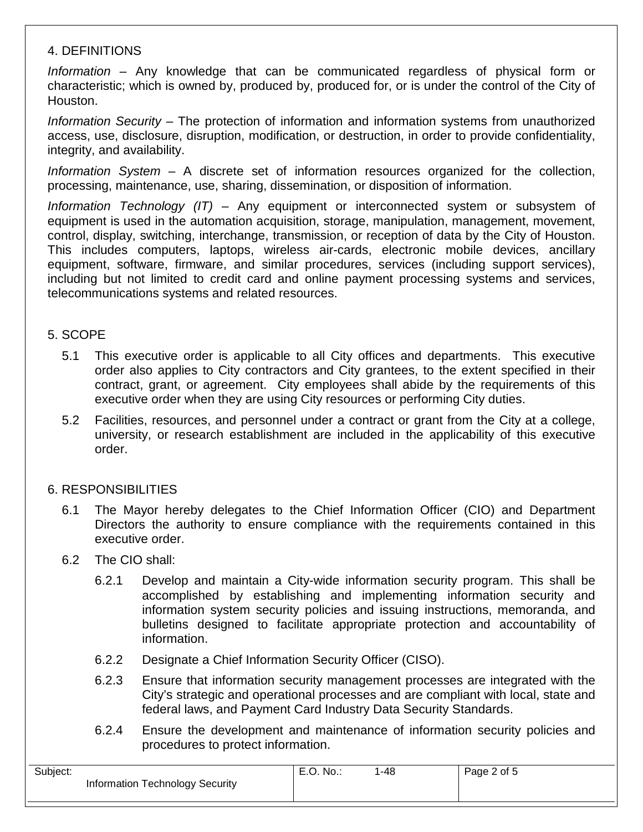# 4. DEFINITIONS

*Information* – Any knowledge that can be communicated regardless of physical form or characteristic; which is owned by, produced by, produced for, or is under the control of the City of Houston.

*Information Security* – The protection of information and information systems from unauthorized access, use, disclosure, disruption, modification, or destruction, in order to provide confidentiality, integrity, and availability.

*Information System* – A discrete set of information resources organized for the collection, processing, maintenance, use, sharing, dissemination, or disposition of information.

*Information Technology (IT)* – Any equipment or interconnected system or subsystem of equipment is used in the automation acquisition, storage, manipulation, management, movement, control, display, switching, interchange, transmission, or reception of data by the City of Houston. This includes computers, laptops, wireless air-cards, electronic mobile devices, ancillary equipment, software, firmware, and similar procedures, services (including support services), including but not limited to credit card and online payment processing systems and services, telecommunications systems and related resources.

### 5. SCOPE

- 5.1 This executive order is applicable to all City offices and departments. This executive order also applies to City contractors and City grantees, to the extent specified in their contract, grant, or agreement. City employees shall abide by the requirements of this executive order when they are using City resources or performing City duties.
- 5.2 Facilities, resources, and personnel under a contract or grant from the City at a college, university, or research establishment are included in the applicability of this executive order.

# 6. RESPONSIBILITIES

6.1 The Mayor hereby delegates to the Chief Information Officer (CIO) and Department Directors the authority to ensure compliance with the requirements contained in this executive order.

### 6.2 The CIO shall:

- 6.2.1 Develop and maintain a City-wide information security program. This shall be accomplished by establishing and implementing information security and information system security policies and issuing instructions, memoranda, and bulletins designed to facilitate appropriate protection and accountability of information.
- 6.2.2 Designate a Chief Information Security Officer (CISO).
- 6.2.3 Ensure that information security management processes are integrated with the City's strategic and operational processes and are compliant with local, state and federal laws, and Payment Card Industry Data Security Standards.
- 6.2.4 Ensure the development and maintenance of information security policies and procedures to protect information.

| Subject:                        | E.O. No. | -48 | Page 2 of 5 |
|---------------------------------|----------|-----|-------------|
| Information Technology Security |          |     |             |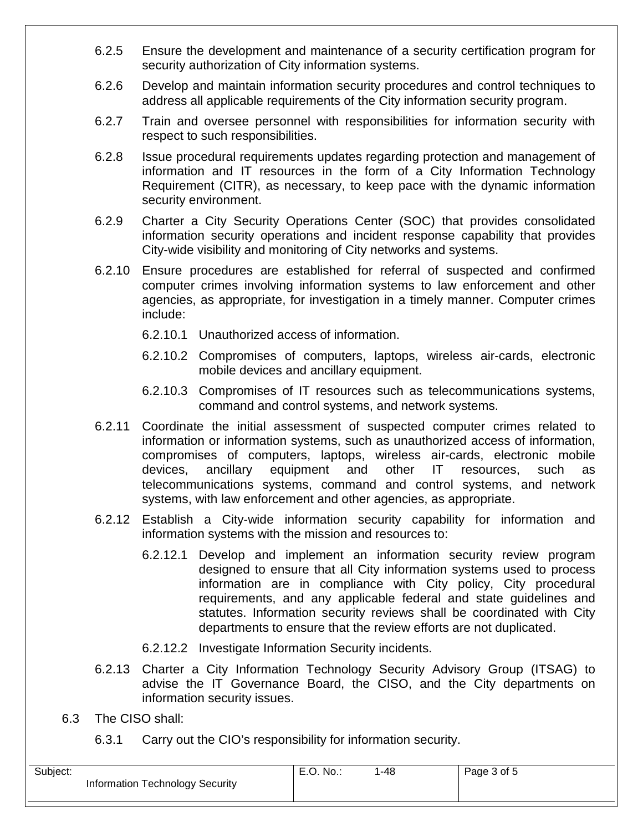- 6.2.5 Ensure the development and maintenance of a security certification program for security authorization of City information systems.
- 6.2.6 Develop and maintain information security procedures and control techniques to address all applicable requirements of the City information security program.
- 6.2.7 Train and oversee personnel with responsibilities for information security with respect to such responsibilities.
- 6.2.8 Issue procedural requirements updates regarding protection and management of information and IT resources in the form of a City Information Technology Requirement (CITR), as necessary, to keep pace with the dynamic information security environment.
- 6.2.9 Charter a City Security Operations Center (SOC) that provides consolidated information security operations and incident response capability that provides City-wide visibility and monitoring of City networks and systems.
- 6.2.10 Ensure procedures are established for referral of suspected and confirmed computer crimes involving information systems to law enforcement and other agencies, as appropriate, for investigation in a timely manner. Computer crimes include:
	- 6.2.10.1 Unauthorized access of information.
	- 6.2.10.2 Compromises of computers, laptops, wireless air-cards, electronic mobile devices and ancillary equipment.
	- 6.2.10.3 Compromises of IT resources such as telecommunications systems, command and control systems, and network systems.
- 6.2.11 Coordinate the initial assessment of suspected computer crimes related to information or information systems, such as unauthorized access of information, compromises of computers, laptops, wireless air-cards, electronic mobile devices, ancillary equipment and other IT resources, such as telecommunications systems, command and control systems, and network systems, with law enforcement and other agencies, as appropriate.
- 6.2.12 Establish a City-wide information security capability for information and information systems with the mission and resources to:
	- 6.2.12.1 Develop and implement an information security review program designed to ensure that all City information systems used to process information are in compliance with City policy, City procedural requirements, and any applicable federal and state guidelines and statutes. Information security reviews shall be coordinated with City departments to ensure that the review efforts are not duplicated.
	- 6.2.12.2 Investigate Information Security incidents.
- 6.2.13 Charter a City Information Technology Security Advisory Group (ITSAG) to advise the IT Governance Board, the CISO, and the City departments on information security issues.
- 6.3 The CISO shall:
	- 6.3.1 Carry out the CIO's responsibility for information security.

| Subject:                        | E.O. No | -48 | Page 3 of 5 |
|---------------------------------|---------|-----|-------------|
| Information Technology Security |         |     |             |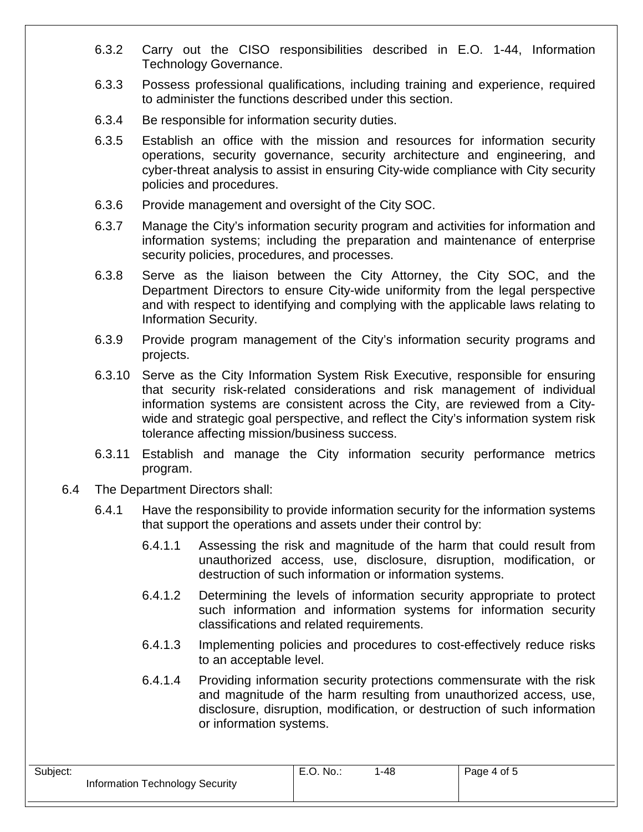- 6.3.2 Carry out the CISO responsibilities described in E.O. 1-44, Information Technology Governance.
- 6.3.3 Possess professional qualifications, including training and experience, required to administer the functions described under this section.
- 6.3.4 Be responsible for information security duties.
- 6.3.5 Establish an office with the mission and resources for information security operations, security governance, security architecture and engineering, and cyber-threat analysis to assist in ensuring City-wide compliance with City security policies and procedures.
- 6.3.6 Provide management and oversight of the City SOC.
- 6.3.7 Manage the City's information security program and activities for information and information systems; including the preparation and maintenance of enterprise security policies, procedures, and processes.
- 6.3.8 Serve as the liaison between the City Attorney, the City SOC, and the Department Directors to ensure City-wide uniformity from the legal perspective and with respect to identifying and complying with the applicable laws relating to Information Security.
- 6.3.9 Provide program management of the City's information security programs and projects.
- 6.3.10 Serve as the City Information System Risk Executive, responsible for ensuring that security risk-related considerations and risk management of individual information systems are consistent across the City, are reviewed from a Citywide and strategic goal perspective, and reflect the City's information system risk tolerance affecting mission/business success.
- 6.3.11 Establish and manage the City information security performance metrics program.
- 6.4 The Department Directors shall:
	- 6.4.1 Have the responsibility to provide information security for the information systems that support the operations and assets under their control by:
		- 6.4.1.1 Assessing the risk and magnitude of the harm that could result from unauthorized access, use, disclosure, disruption, modification, or destruction of such information or information systems.
		- 6.4.1.2 Determining the levels of information security appropriate to protect such information and information systems for information security classifications and related requirements.
		- 6.4.1.3 Implementing policies and procedures to cost-effectively reduce risks to an acceptable level.
		- 6.4.1.4 Providing information security protections commensurate with the risk and magnitude of the harm resulting from unauthorized access, use, disclosure, disruption, modification, or destruction of such information or information systems.